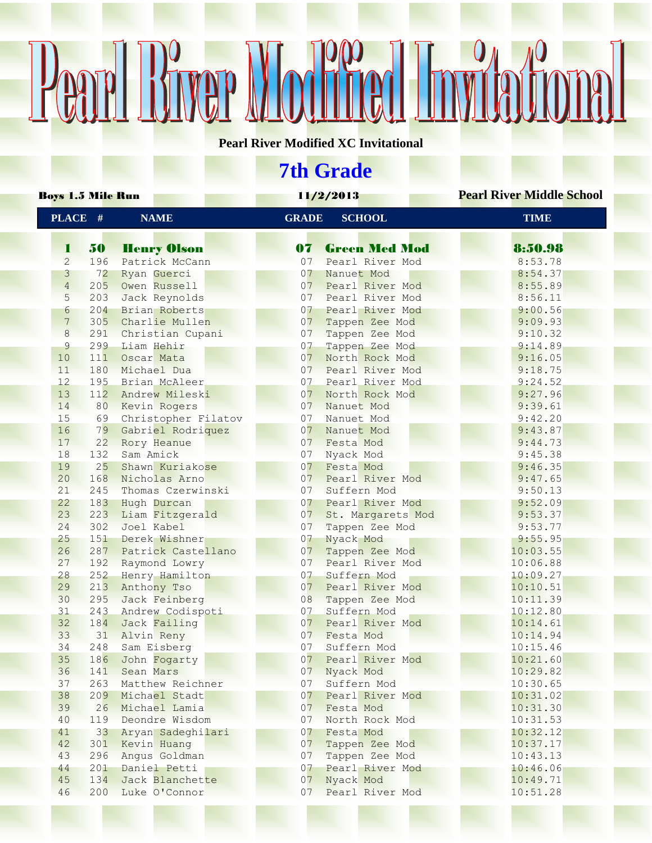## Pearl Bryer Modred Invitational

**Pearl River Modified XC Invitational**

## **7th Grade**

| Boys 1.5 Mile Run |     |                     | 11/2/2013      |                      | <b>Pearl River Middle School</b> |
|-------------------|-----|---------------------|----------------|----------------------|----------------------------------|
| PLACE #           |     | <b>NAME</b>         | <b>GRADE</b>   | <b>SCHOOL</b>        | <b>TIME</b>                      |
| 1                 | 50  | <b>Henry Olson</b>  | 07             | <b>Green Med Mod</b> | 8:50.98                          |
| 2                 | 196 | Patrick McCann      | 07             | Pearl River Mod      | 8:53.78                          |
| 3                 | 72  | Ryan Guerci         | 0 <sub>7</sub> | Nanuet Mod           | 8:54.37                          |
| $\overline{4}$    | 205 | Owen Russell        | 07             | Pearl River Mod      | 8:55.89                          |
| 5                 | 203 | Jack Reynolds       | 07             | Pearl River Mod      | 8:56.11                          |
| 6                 | 204 | Brian Roberts       | 07             | Pearl River Mod      | 9:00.56                          |
| $7\phantom{.0}$   | 305 | Charlie Mullen      | 0 <sub>7</sub> | Tappen Zee Mod       | 9:09.93                          |
| 8                 | 291 | Christian Cupani    | 07             | Tappen Zee Mod       | 9:10.32                          |
| 9                 | 299 | Liam Hehir          | 07             | Tappen Zee Mod       | 9:14.89                          |
| 10                | 111 | Oscar Mata          | 07             | North Rock Mod       | 9:16.05                          |
| 11                | 180 | Michael Dua         | 07             | Pearl River Mod      | 9:18.75                          |
| 12                | 195 | Brian McAleer       | 07             | Pearl River Mod      | 9:24.52                          |
| 13                | 112 | Andrew Mileski      | 07             | North Rock Mod       | 9:27.96                          |
| 14                | 80  | Kevin Rogers        | 07             | Nanuet Mod           | 9:39.61                          |
| 15                | 69  | Christopher Filatov | 07             | Nanuet Mod           | 9:42.20                          |
| 16                | 79  | Gabriel Rodriquez   | 0 <sub>7</sub> | Nanuet Mod           | 9:43.87                          |
| 17                | 22  | Rory Heanue         | 07             | Festa Mod            | 9:44.73                          |
| 18                | 132 | Sam Amick           | 07             | Nyack Mod            | 9:45.38                          |
| 19                | 25  | Shawn Kuriakose     | 07             | Festa Mod            | 9:46.35                          |
| 20                | 168 | Nicholas Arno       | 07             | Pearl River Mod      | 9:47.65                          |
| 21                | 245 | Thomas Czerwinski   | 07             | Suffern Mod          | 9:50.13                          |
| 22                | 183 | Hugh Durcan         | 07             | Pearl River Mod      | 9:52.09                          |
| 23                | 223 | Liam Fitzgerald     | 07             | St. Margarets Mod    | 9:53.37                          |
| 24                | 302 | Joel Kabel          | 07             | Tappen Zee Mod       | 9:53.77                          |
| 25                | 151 | Derek Wishner       | 07             | Nyack Mod            | 9:55.95                          |
| 26                | 287 | Patrick Castellano  | 07             | Tappen Zee Mod       | 10:03.55                         |
| 27                | 192 | Raymond Lowry       | 07             | Pearl River Mod      | 10:06.88                         |
| 28                | 252 | Henry Hamilton      | 07             | Suffern Mod          | 10:09.27                         |
| 29                | 213 | Anthony Tso         | 07             | Pearl River Mod      | 10:10.51                         |
| 30                | 295 | Jack Feinberg       | 08             | Tappen Zee Mod       | 10:11.39                         |
| 31                | 243 | Andrew Codispoti    | 07             | Suffern Mod          | 10:12.80                         |
| 32                | 184 | Jack Failing        | 07             | Pearl River Mod      | 10:14.61                         |
| 33                | 31  | Alvin Reny          | 07             | Festa Mod            | 10:14.94                         |
| 34                | 248 | Sam Eisberg         | 07             | Suffern Mod          | 10:15.46                         |
| 35                | 186 | John Fogarty        | 0 <sub>7</sub> | Pearl River Mod      | 10:21.60                         |
| 36                | 141 | Sean Mars           | 07             | Nyack Mod            | 10:29.82                         |
| 37                | 263 | Matthew Reichner    | 07             | Suffern Mod          | 10:30.65                         |
| 38                |     | 209 Michael Stadt   | 07             | Pearl River Mod      | 10:31.02                         |
| 39                | 26  | Michael Lamia       | 07             | Festa Mod            | 10:31.30                         |
| 40                | 119 | Deondre Wisdom      | 07             | North Rock Mod       | 10:31.53                         |
| 41                | 33  | Aryan Sadeghilari   | 07             | Festa Mod            | 10:32.12                         |
| 42                | 301 | Kevin Huang         | 07             | Tappen Zee Mod       | 10:37.17                         |
| 43                | 296 | Angus Goldman       | 07             | Tappen Zee Mod       | 10:43.13                         |
| 44                | 201 | Daniel Petti        | 07             | Pearl River Mod      | 10:46.06                         |
| 45                | 134 | Jack Blanchette     | 07             | Nyack Mod            | 10:49.71                         |
| 46                | 200 | Luke O'Connor       | 07             | Pearl River Mod      | 10:51.28                         |
|                   |     |                     |                |                      |                                  |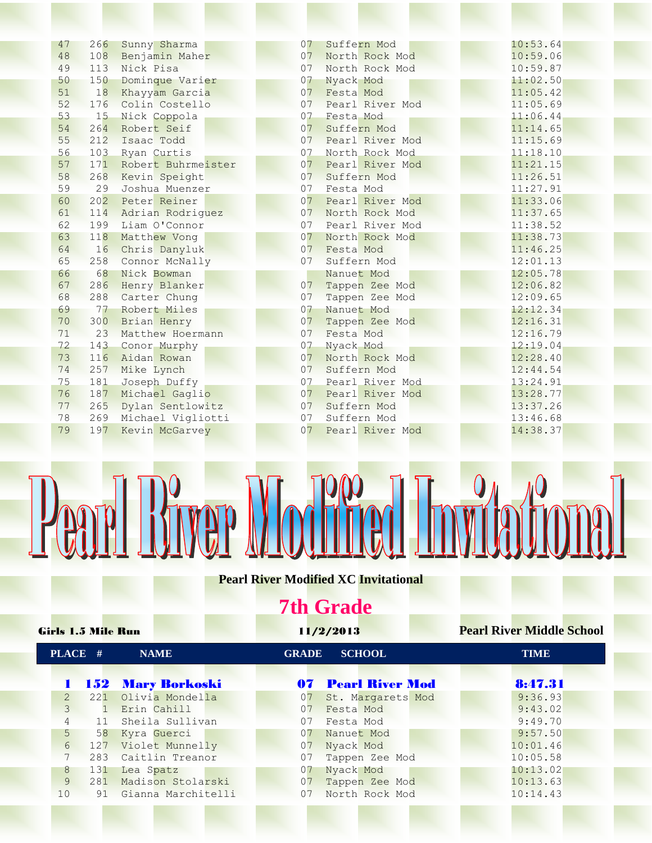| 47 | 266 | Sunny Sharma       | 07 | Suffern Mod        | 10:53.64 |
|----|-----|--------------------|----|--------------------|----------|
| 48 | 108 | Benjamin Maher     | 07 | North Rock Mod     | 10:59.06 |
| 49 | 113 | Nick Pisa          | 07 | North Rock Mod     | 10:59.87 |
| 50 | 150 | Dominque Varier    | 07 | Nyack Mod          | 11:02.50 |
| 51 | 18  | Khayyam Garcia     | 07 | Festa Mod          | 11:05.42 |
| 52 | 176 | Colin Costello     | 07 | Pearl River Mod    | 11:05.69 |
| 53 | 15  | Nick Coppola       | 07 | Festa Mod          | 11:06.44 |
| 54 | 264 | Robert Seif        | 07 | Suffern Mod        | 11:14.65 |
| 55 | 212 | Isaac Todd         | 07 | Pearl River Mod    | 11:15.69 |
| 56 | 103 | Ryan Curtis        | 07 | North Rock Mod     | 11:18.10 |
| 57 | 171 | Robert Buhrmeister |    | 07 Pearl River Mod | 11:21.15 |
| 58 | 268 | Kevin Speight      |    | 07 Suffern Mod     | 11:26.51 |
| 59 | 29  | Joshua Muenzer     | 07 | Festa Mod          | 11:27.91 |
| 60 | 202 | Peter Reiner       | 07 | Pearl River Mod    | 11:33.06 |
| 61 | 114 | Adrian Rodriguez   | 07 | North Rock Mod     | 11:37.65 |
| 62 | 199 | Liam O'Connor      | 07 | Pearl River Mod    | 11:38.52 |
| 63 | 118 | Matthew Vong       | 07 | North Rock Mod     | 11:38.73 |
| 64 | 16  | Chris Danyluk      | 07 | Festa Mod          | 11:46.25 |
| 65 | 258 | Connor McNally     | 07 | Suffern Mod        | 12:01.13 |
| 66 | 68  | Nick Bowman        |    | Nanuet Mod         | 12:05.78 |
| 67 | 286 | Henry Blanker      | 07 | Tappen Zee Mod     | 12:06.82 |
| 68 | 288 | Carter Chung       | 07 | Tappen Zee Mod     | 12:09.65 |
| 69 | 77  | Robert Miles       | 07 | Nanuet Mod         | 12:12.34 |
| 70 | 300 | Brian Henry        | 07 | Tappen Zee Mod     | 12:16.31 |
| 71 | 23  | Matthew Hoermann   | 07 | Festa Mod          | 12:16.79 |
| 72 | 143 | Conor Murphy       | 07 | Nyack Mod          | 12:19.04 |
| 73 | 116 | Aidan Rowan        | 07 | North Rock Mod     | 12:28.40 |
| 74 | 257 | Mike Lynch         | 07 | Suffern Mod        | 12:44.54 |
| 75 | 181 | Joseph Duffy       | 07 | Pearl River Mod    | 13:24.91 |
| 76 | 187 | Michael Gaglio     |    | 07 Pearl River Mod | 13:28.77 |
| 77 | 265 | Dylan Sentlowitz   |    | 07 Suffern Mod     | 13:37.26 |
| 78 | 269 | Michael Vigliotti  |    | 07 Suffern Mod     | 13:46.68 |
| 79 | 197 | Kevin McGarvey     | 07 | Pearl River Mod    | 14:38.37 |
|    |     |                    |    |                    |          |

## Pearl River Modried Invitational

**Pearl River Modified XC Invitational**

## **7th Grade**

| <b>Girls 1.5 Mile Run</b> |                |     |                          |              | 11/2/2013                 | <b>Pearl River Middle School</b> |
|---------------------------|----------------|-----|--------------------------|--------------|---------------------------|----------------------------------|
|                           | PLACE #        |     | <b>NAME</b>              | <b>GRADE</b> | <b>SCHOOL</b>             | <b>TIME</b>                      |
|                           |                |     | <b>152 Mary Borkoski</b> |              | <b>07 Pearl River Mod</b> | 8:47.31                          |
|                           | $\overline{2}$ | 221 | Olivia Mondella          | 07           | St. Margarets Mod         | 9:36.93                          |
|                           | 3              |     | Erin Cahill              | 07           | Festa Mod                 | 9:43.02                          |
|                           | $\overline{4}$ | 11  | Sheila Sullivan          | 07           | Festa Mod                 | 9:49.70                          |
|                           | 5 <sup>5</sup> | 58  | Kyra Guerci              | 07           | Nanuet Mod                | 9:57.50                          |
|                           | 6              | 127 | Violet Munnelly          | 07           | Nyack Mod                 | 10:01.46                         |
|                           | 7              | 283 | Caitlin Treanor          | 07           | Tappen Zee Mod            | 10:05.58                         |
|                           | 8              | 131 | Lea Spatz                | 07           | Nyack Mod                 | 10:13.02                         |
|                           | 9              | 281 | Madison Stolarski        | 07           | Tappen Zee Mod            | 10:13.63                         |
|                           | 10             | 91  | Gianna Marchitelli       | 07           | North Rock Mod            | 10:14.43                         |